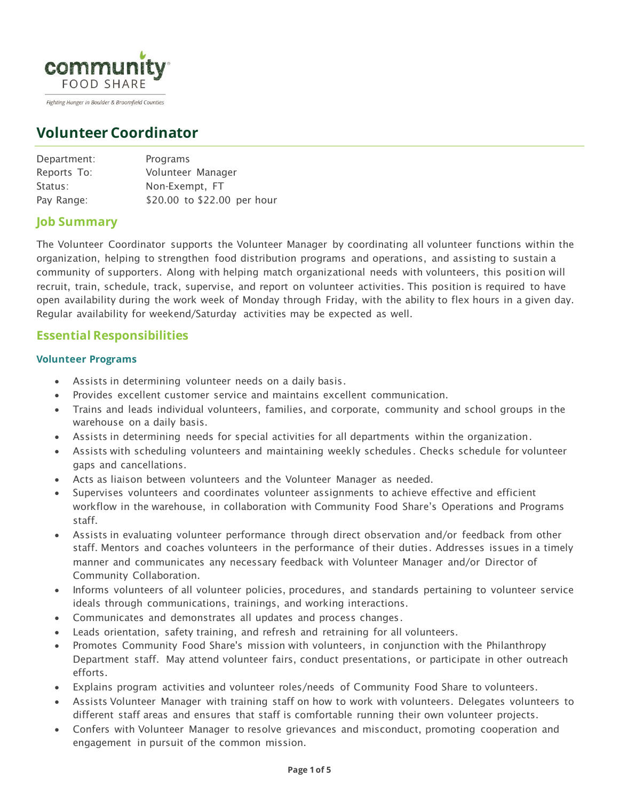

#### Fighting Hunger in Boulder & Broomfield Counties

# **Volunteer Coordinator**

| Department: | Programs                    |
|-------------|-----------------------------|
| Reports To: | Volunteer Manager           |
| Status:     | Non-Exempt, FT              |
| Pay Range:  | \$20.00 to \$22.00 per hour |

## **Job Summary**

The Volunteer Coordinator supports the Volunteer Manager by coordinating all volunteer functions within the organization, helping to strengthen food distribution programs and operations, and assisting to sustain a community of supporters. Along with helping match organizational needs with volunteers, this position will recruit, train, schedule, track, supervise, and report on volunteer activities. This position is required to have open availability during the work week of Monday through Friday, with the ability to flex hours in a given day. Regular availability for weekend/Saturday activities may be expected as well.

## **Essential Responsibilities**

#### **Volunteer Programs**

- Assists in determining volunteer needs on a daily basis.
- Provides excellent customer service and maintains excellent communication.
- Trains and leads individual volunteers, families, and corporate, community and school groups in the warehouse on a daily basis.
- Assists in determining needs for special activities for all departments within the organization.
- Assists with scheduling volunteers and maintaining weekly schedules. Checks schedule for volunteer gaps and cancellations.
- Acts as liaison between volunteers and the Volunteer Manager as needed.
- Supervises volunteers and coordinates volunteer assignments to achieve effective and efficient workflow in the warehouse, in collaboration with Community Food Share's Operations and Programs staff.
- Assists in evaluating volunteer performance through direct observation and/or feedback from other staff. Mentors and coaches volunteers in the performance of their duties. Addresses issues in a timely manner and communicates any necessary feedback with Volunteer Manager and/or Director of Community Collaboration.
- Informs volunteers of all volunteer policies, procedures, and standards pertaining to volunteer service ideals through communications, trainings, and working interactions.
- Communicates and demonstrates all updates and process changes.
- Leads orientation, safety training, and refresh and retraining for all volunteers.
- Promotes Community Food Share's mission with volunteers, in conjunction with the Philanthropy Department staff. May attend volunteer fairs, conduct presentations, or participate in other outreach efforts.
- Explains program activities and volunteer roles/needs of Community Food Share to volunteers.
- Assists Volunteer Manager with training staff on how to work with volunteers. Delegates volunteers to different staff areas and ensures that staff is comfortable running their own volunteer projects.
- Confers with Volunteer Manager to resolve grievances and misconduct, promoting cooperation and engagement in pursuit of the common mission.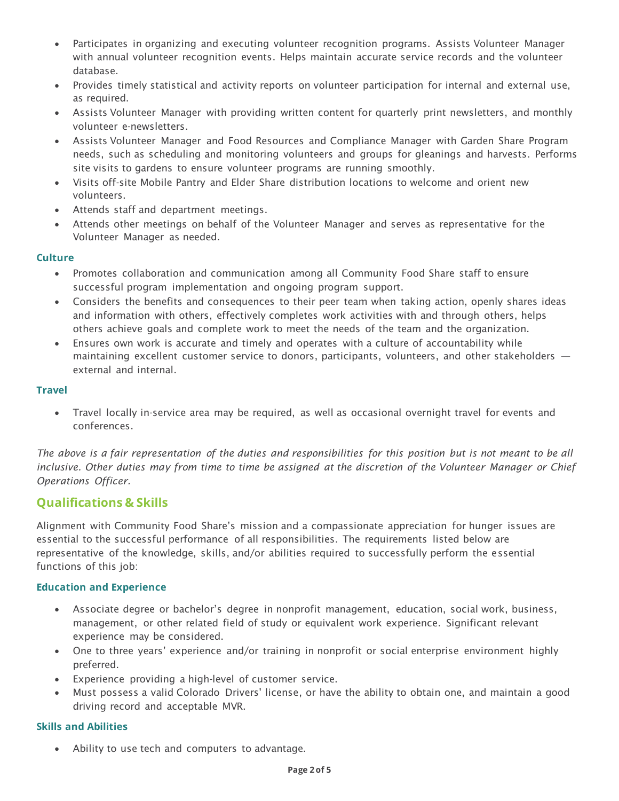- Participates in organizing and executing volunteer recognition programs. Assists Volunteer Manager with annual volunteer recognition events. Helps maintain accurate service records and the volunteer database.
- Provides timely statistical and activity reports on volunteer participation for internal and external use, as required.
- Assists Volunteer Manager with providing written content for quarterly print newsletters, and monthly volunteer e-newsletters.
- Assists Volunteer Manager and Food Resources and Compliance Manager with Garden Share Program needs, such as scheduling and monitoring volunteers and groups for gleanings and harvests. Performs site visits to gardens to ensure volunteer programs are running smoothly.
- Visits off-site Mobile Pantry and Elder Share distribution locations to welcome and orient new volunteers.
- Attends staff and department meetings.
- Attends other meetings on behalf of the Volunteer Manager and serves as representative for the Volunteer Manager as needed.

#### **Culture**

- Promotes collaboration and communication among all Community Food Share staff to ensure successful program implementation and ongoing program support.
- Considers the benefits and consequences to their peer team when taking action, openly shares ideas and information with others, effectively completes work activities with and through others, helps others achieve goals and complete work to meet the needs of the team and the organization.
- Ensures own work is accurate and timely and operates with a culture of accountability while maintaining excellent customer service to donors, participants, volunteers, and other stakeholders external and internal.

#### **Travel**

• Travel locally in-service area may be required, as well as occasional overnight travel for events and conferences.

*The above is a fair representation of the duties and responsibilities for this position but is not meant to be all inclusive. Other duties may from time to time be assigned at the discretion of the Volunteer Manager or Chief Operations Officer.*

## **Qualifications & Skills**

Alignment with Community Food Share's mission and a compassionate appreciation for hunger issues are essential to the successful performance of all responsibilities. The requirements listed below are representative of the knowledge, skills, and/or abilities required to successfully perform the essential functions of this job:

#### **Education and Experience**

- Associate degree or bachelor's degree in nonprofit management, education, social work, business, management, or other related field of study or equivalent work experience. Significant relevant experience may be considered.
- One to three years' experience and/or training in nonprofit or social enterprise environment highly preferred.
- Experience providing a high-level of customer service.
- Must possess a valid Colorado Drivers' license, or have the ability to obtain one, and maintain a good driving record and acceptable MVR.

#### **Skills and Abilities**

• Ability to use tech and computers to advantage.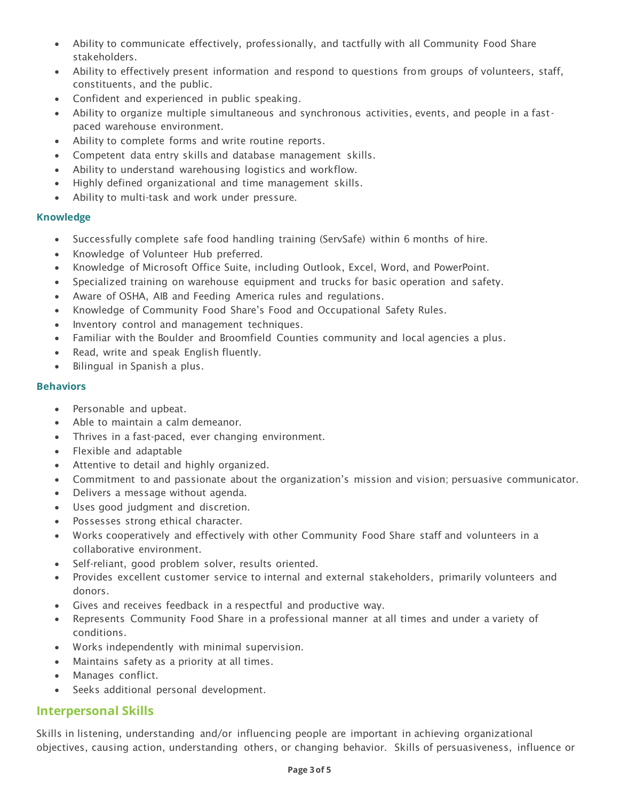- Ability to communicate effectively, professionally, and tactfully with all Community Food Share stakeholders.
- Ability to effectively present information and respond to questions from groups of volunteers, staff, constituents, and the public.
- Confident and experienced in public speaking.
- Ability to organize multiple simultaneous and synchronous activities, events, and people in a fastpaced warehouse environment.
- Ability to complete forms and write routine reports.
- Competent data entry skills and database management skills.
- Ability to understand warehousing logistics and workflow.
- Highly defined organizational and time management skills.
- Ability to multi-task and work under pressure.

#### **Knowledge**

- Successfully complete safe food handling training (ServSafe) within 6 months of hire.
- Knowledge of Volunteer Hub preferred.
- Knowledge of Microsoft Office Suite, including Outlook, Excel, Word, and PowerPoint.
- Specialized training on warehouse equipment and trucks for basic operation and safety.
- Aware of OSHA, AIB and Feeding America rules and regulations.
- Knowledge of Community Food Share's Food and Occupational Safety Rules.
- Inventory control and management techniques.
- Familiar with the Boulder and Broomfield Counties community and local agencies a plus.
- Read, write and speak English fluently.
- Bilingual in Spanish a plus.

#### **Behaviors**

- Personable and upbeat.
- Able to maintain a calm demeanor.
- Thrives in a fast-paced, ever changing environment.
- Flexible and adaptable
- Attentive to detail and highly organized.
- Commitment to and passionate about the organization's mission and vision; persuasive communicator.
- Delivers a message without agenda.
- Uses good judgment and discretion.
- Possesses strong ethical character.
- Works cooperatively and effectively with other Community Food Share staff and volunteers in a collaborative environment.
- Self-reliant, good problem solver, results oriented.
- Provides excellent customer service to internal and external stakeholders, primarily volunteers and donors.
- Gives and receives feedback in a respectful and productive way.
- Represents Community Food Share in a professional manner at all times and under a variety of conditions.
- Works independently with minimal supervision.
- Maintains safety as a priority at all times.
- Manages conflict.
- Seeks additional personal development.

### **Interpersonal Skills**

Skills in listening, understanding and/or influencing people are important in achieving organizational objectives, causing action, understanding others, or changing behavior. Skills of persuasiveness, influence or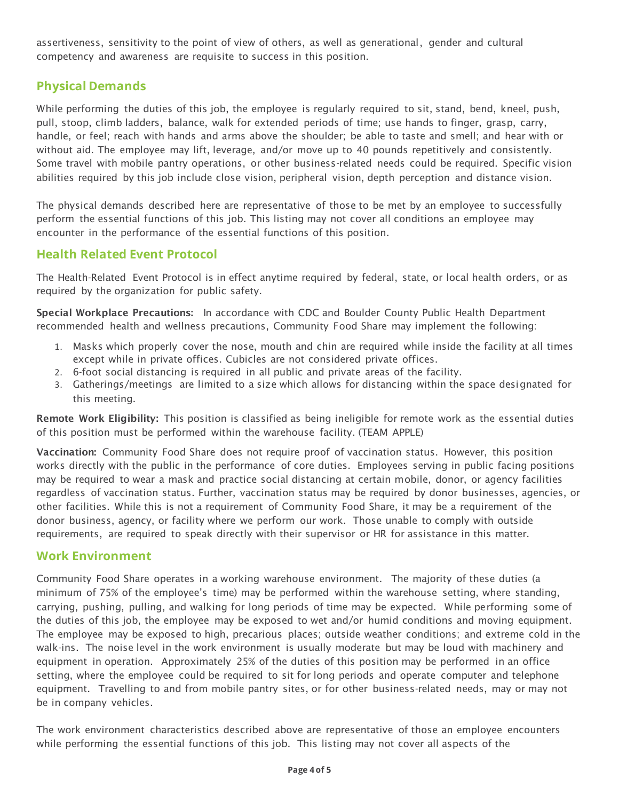assertiveness, sensitivity to the point of view of others, as well as generational, gender and cultural competency and awareness are requisite to success in this position.

## **Physical Demands**

While performing the duties of this job, the employee is regularly required to sit, stand, bend, kneel, push, pull, stoop, climb ladders, balance, walk for extended periods of time; use hands to finger, grasp, carry, handle, or feel; reach with hands and arms above the shoulder; be able to taste and smell; and hear with or without aid. The employee may lift, leverage, and/or move up to 40 pounds repetitively and consistently. Some travel with mobile pantry operations, or other business-related needs could be required. Specific vision abilities required by this job include close vision, peripheral vision, depth perception and distance vision.

The physical demands described here are representative of those to be met by an employee to successfully perform the essential functions of this job. This listing may not cover all conditions an employee may encounter in the performance of the essential functions of this position.

## **Health Related Event Protocol**

The Health-Related Event Protocol is in effect anytime required by federal, state, or local health orders, or as required by the organization for public safety.

Special Workplace Precautions: In accordance with CDC and Boulder County Public Health Department recommended health and wellness precautions, Community Food Share may implement the following:

- 1. Masks which properly cover the nose, mouth and chin are required while inside the facility at all times except while in private offices. Cubicles are not considered private offices.
- 2. 6-foot social distancing is required in all public and private areas of the facility.
- 3. Gatherings/meetings are limited to a size which allows for distancing within the space designated for this meeting.

Remote Work Eligibility: This position is classified as being ineligible for remote work as the essential duties of this position must be performed within the warehouse facility. (TEAM APPLE)

Vaccination: Community Food Share does not require proof of vaccination status. However, this position works directly with the public in the performance of core duties. Employees serving in public facing positions may be required to wear a mask and practice social distancing at certain mobile, donor, or agency facilities regardless of vaccination status. Further, vaccination status may be required by donor businesses, agencies, or other facilities. While this is not a requirement of Community Food Share, it may be a requirement of the donor business, agency, or facility where we perform our work. Those unable to comply with outside requirements, are required to speak directly with their supervisor or HR for assistance in this matter.

### **Work Environment**

Community Food Share operates in a working warehouse environment. The majority of these duties (a minimum of 75% of the employee's time) may be performed within the warehouse setting, where standing, carrying, pushing, pulling, and walking for long periods of time may be expected. While performing some of the duties of this job, the employee may be exposed to wet and/or humid conditions and moving equipment. The employee may be exposed to high, precarious places; outside weather conditions; and extreme cold in the walk-ins. The noise level in the work environment is usually moderate but may be loud with machinery and equipment in operation. Approximately 25% of the duties of this position may be performed in an office setting, where the employee could be required to sit for long periods and operate computer and telephone equipment. Travelling to and from mobile pantry sites, or for other business-related needs, may or may not be in company vehicles.

The work environment characteristics described above are representative of those an employee encounters while performing the essential functions of this job. This listing may not cover all aspects of the